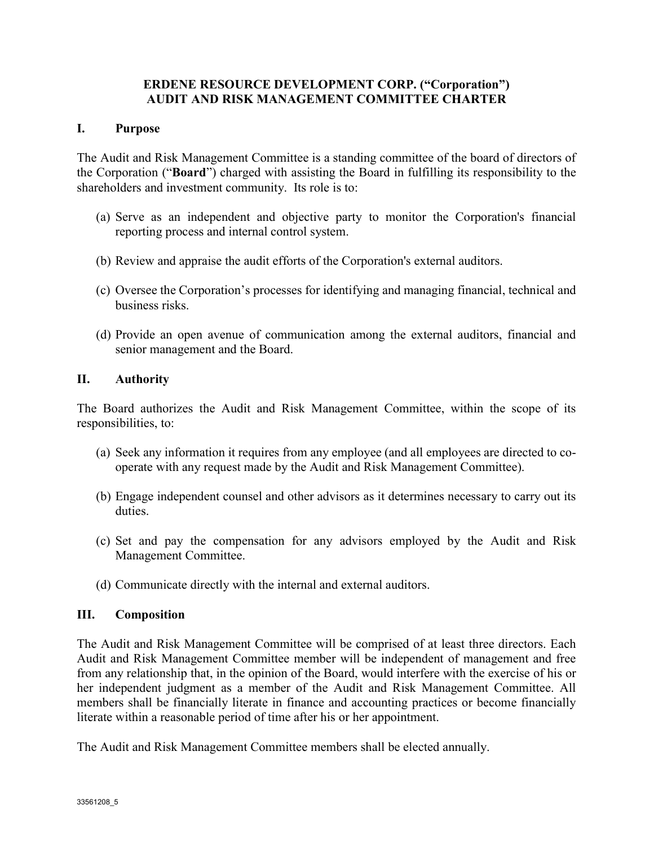# ERDENE RESOURCE DEVELOPMENT CORP. ("Corporation") AUDIT AND RISK MANAGEMENT COMMITTEE CHARTER

## I. Purpose

The Audit and Risk Management Committee is a standing committee of the board of directors of the Corporation ("Board") charged with assisting the Board in fulfilling its responsibility to the shareholders and investment community. Its role is to:

- (a) Serve as an independent and objective party to monitor the Corporation's financial reporting process and internal control system.
- (b) Review and appraise the audit efforts of the Corporation's external auditors.
- (c) Oversee the Corporation's processes for identifying and managing financial, technical and business risks.
- (d) Provide an open avenue of communication among the external auditors, financial and senior management and the Board.

## II. Authority

The Board authorizes the Audit and Risk Management Committee, within the scope of its responsibilities, to:

- (a) Seek any information it requires from any employee (and all employees are directed to cooperate with any request made by the Audit and Risk Management Committee).
- (b) Engage independent counsel and other advisors as it determines necessary to carry out its duties.
- (c) Set and pay the compensation for any advisors employed by the Audit and Risk Management Committee.
- (d) Communicate directly with the internal and external auditors.

# III. Composition

The Audit and Risk Management Committee will be comprised of at least three directors. Each Audit and Risk Management Committee member will be independent of management and free from any relationship that, in the opinion of the Board, would interfere with the exercise of his or her independent judgment as a member of the Audit and Risk Management Committee. All members shall be financially literate in finance and accounting practices or become financially literate within a reasonable period of time after his or her appointment.

The Audit and Risk Management Committee members shall be elected annually.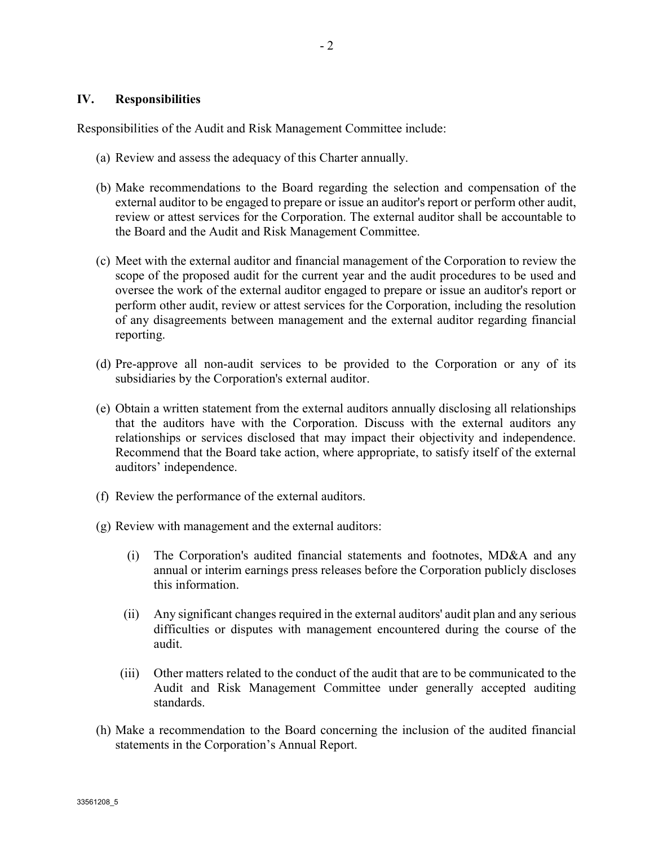Responsibilities of the Audit and Risk Management Committee include:

- (a) Review and assess the adequacy of this Charter annually.
- (b) Make recommendations to the Board regarding the selection and compensation of the external auditor to be engaged to prepare or issue an auditor's report or perform other audit, review or attest services for the Corporation. The external auditor shall be accountable to the Board and the Audit and Risk Management Committee.
- (c) Meet with the external auditor and financial management of the Corporation to review the scope of the proposed audit for the current year and the audit procedures to be used and oversee the work of the external auditor engaged to prepare or issue an auditor's report or perform other audit, review or attest services for the Corporation, including the resolution of any disagreements between management and the external auditor regarding financial reporting.
- (d) Pre-approve all non-audit services to be provided to the Corporation or any of its subsidiaries by the Corporation's external auditor.
- (e) Obtain a written statement from the external auditors annually disclosing all relationships that the auditors have with the Corporation. Discuss with the external auditors any relationships or services disclosed that may impact their objectivity and independence. Recommend that the Board take action, where appropriate, to satisfy itself of the external auditors' independence.
- (f) Review the performance of the external auditors.
- (g) Review with management and the external auditors:
	- (i) The Corporation's audited financial statements and footnotes, MD&A and any annual or interim earnings press releases before the Corporation publicly discloses this information.
	- (ii) Any significant changes required in the external auditors' audit plan and any serious difficulties or disputes with management encountered during the course of the audit.
	- (iii) Other matters related to the conduct of the audit that are to be communicated to the Audit and Risk Management Committee under generally accepted auditing standards.
- (h) Make a recommendation to the Board concerning the inclusion of the audited financial statements in the Corporation's Annual Report.